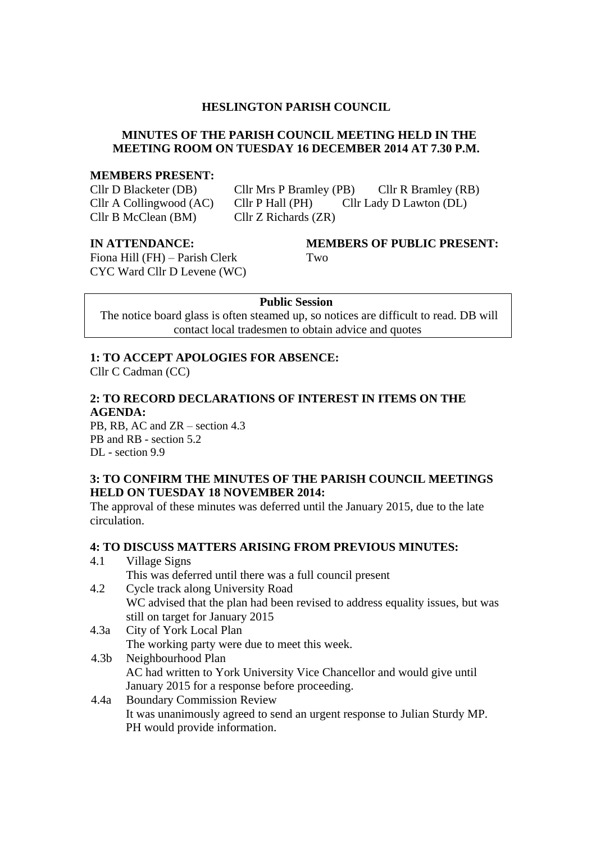#### **HESLINGTON PARISH COUNCIL**

#### **MINUTES OF THE PARISH COUNCIL MEETING HELD IN THE MEETING ROOM ON TUESDAY 16 DECEMBER 2014 AT 7.30 P.M.**

#### **MEMBERS PRESENT:**

Cllr B McClean (BM) Cllr Z Richards (ZR)

Cllr D Blacketer (DB) Cllr Mrs P Bramley (PB) Cllr R Bramley (RB) Cllr A Collingwood (AC) Cllr P Hall (PH) Cllr Lady D Lawton (DL)

Fiona Hill (FH) – Parish Clerk Two CYC Ward Cllr D Levene (WC)

# **IN ATTENDANCE: MEMBERS OF PUBLIC PRESENT:**

#### **Public Session**

The notice board glass is often steamed up, so notices are difficult to read. DB will contact local tradesmen to obtain advice and quotes

#### **1: TO ACCEPT APOLOGIES FOR ABSENCE:**

PH would provide information.

Cllr C Cadman (CC)

#### **2: TO RECORD DECLARATIONS OF INTEREST IN ITEMS ON THE AGENDA:**

PB, RB, AC and ZR – section 4.3 PB and RB - section 5.2 DL - section 9.9

#### **3: TO CONFIRM THE MINUTES OF THE PARISH COUNCIL MEETINGS HELD ON TUESDAY 18 NOVEMBER 2014:**

The approval of these minutes was deferred until the January 2015, due to the late circulation.

#### **4: TO DISCUSS MATTERS ARISING FROM PREVIOUS MINUTES:**

| 4.1              | Village Signs                                                                 |
|------------------|-------------------------------------------------------------------------------|
|                  | This was deferred until there was a full council present                      |
| 4.2              | Cycle track along University Road                                             |
|                  | WC advised that the plan had been revised to address equality issues, but was |
|                  | still on target for January 2015                                              |
| 4.3a             | City of York Local Plan                                                       |
|                  | The working party were due to meet this week.                                 |
| 4.3 <sub>b</sub> | Neighbourhood Plan                                                            |
|                  | AC had written to York University Vice Chancellor and would give until        |
|                  | January 2015 for a response before proceeding.                                |
| 4.4a             | <b>Boundary Commission Review</b>                                             |
|                  | It was unanimously agreed to send an urgent response to Julian Sturdy MP.     |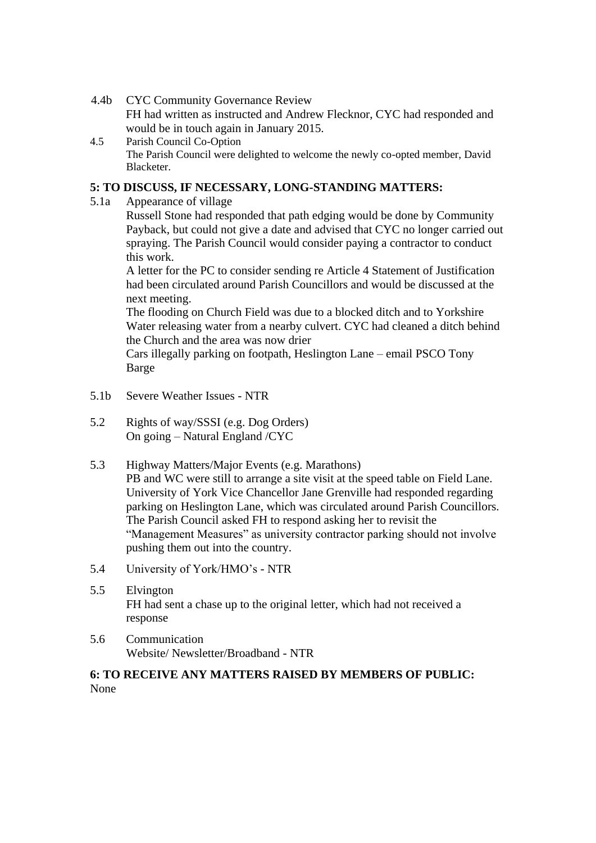- 4.4b CYC Community Governance Review FH had written as instructed and Andrew Flecknor, CYC had responded and would be in touch again in January 2015.
- 4.5 Parish Council Co-Option The Parish Council were delighted to welcome the newly co-opted member, David Blacketer.

#### **5: TO DISCUSS, IF NECESSARY, LONG-STANDING MATTERS:**

5.1a Appearance of village

Russell Stone had responded that path edging would be done by Community Payback, but could not give a date and advised that CYC no longer carried out spraying. The Parish Council would consider paying a contractor to conduct this work.

A letter for the PC to consider sending re Article 4 Statement of Justification had been circulated around Parish Councillors and would be discussed at the next meeting.

The flooding on Church Field was due to a blocked ditch and to Yorkshire Water releasing water from a nearby culvert. CYC had cleaned a ditch behind the Church and the area was now drier

Cars illegally parking on footpath, Heslington Lane – email PSCO Tony Barge

- 5.1b Severe Weather Issues NTR
- 5.2 Rights of way/SSSI (e.g. Dog Orders) On going – Natural England /CYC
- 5.3 Highway Matters/Major Events (e.g. Marathons)

PB and WC were still to arrange a site visit at the speed table on Field Lane. University of York Vice Chancellor Jane Grenville had responded regarding parking on Heslington Lane, which was circulated around Parish Councillors. The Parish Council asked FH to respond asking her to revisit the "Management Measures" as university contractor parking should not involve pushing them out into the country.

- 5.4 University of York/HMO's NTR
- 5.5 Elvington FH had sent a chase up to the original letter, which had not received a response
- 5.6 Communication Website/ Newsletter/Broadband - NTR

#### **6: TO RECEIVE ANY MATTERS RAISED BY MEMBERS OF PUBLIC:** None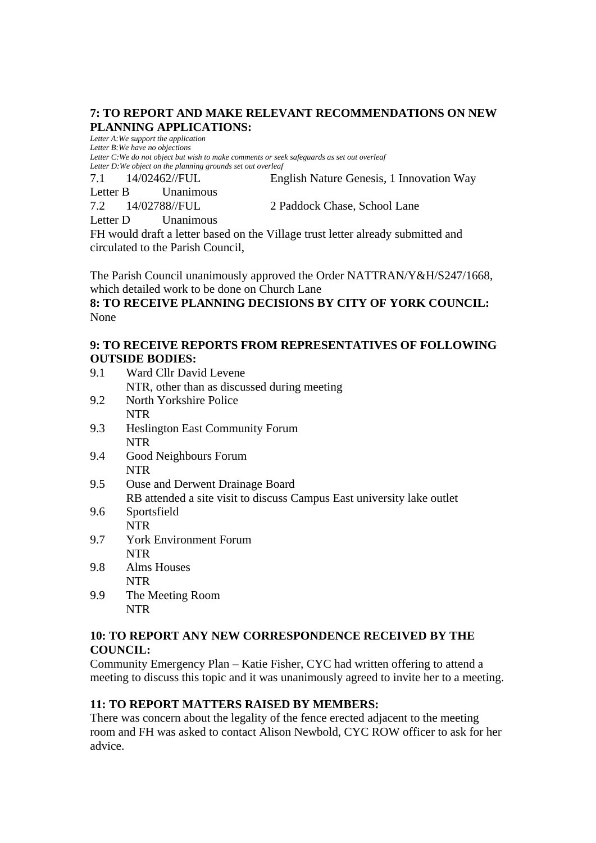### **7: TO REPORT AND MAKE RELEVANT RECOMMENDATIONS ON NEW PLANNING APPLICATIONS:**

*Letter A:We support the application Letter B:We have no objections*

*Letter C:We do not object but wish to make comments or seek safeguards as set out overleaf Letter D:We object on the planning grounds set out overleaf*

7.1 14/02462//FUL English Nature Genesis, 1 Innovation Way

Letter B Unanimous

7.2 14/02788//FUL 2 Paddock Chase, School Lane

Letter D Unanimous

FH would draft a letter based on the Village trust letter already submitted and circulated to the Parish Council,

The Parish Council unanimously approved the Order NATTRAN/Y&H/S247/1668, which detailed work to be done on Church Lane

**8: TO RECEIVE PLANNING DECISIONS BY CITY OF YORK COUNCIL:** None

### **9: TO RECEIVE REPORTS FROM REPRESENTATIVES OF FOLLOWING OUTSIDE BODIES:**

- 9.1 Ward Cllr David Levene NTR, other than as discussed during meeting 9.2 North Yorkshire Police
- NTR
- 9.3 Heslington East Community Forum **NTR**
- 9.4 Good Neighbours Forum NTR
- 9.5 Ouse and Derwent Drainage Board RB attended a site visit to discuss Campus East university lake outlet
- 9.6 Sportsfield NTR
- 9.7 York Environment Forum NTR
- 9.8 Alms Houses NTR
- 9.9 The Meeting Room NTR

#### **10: TO REPORT ANY NEW CORRESPONDENCE RECEIVED BY THE COUNCIL:**

Community Emergency Plan – Katie Fisher, CYC had written offering to attend a meeting to discuss this topic and it was unanimously agreed to invite her to a meeting.

## **11: TO REPORT MATTERS RAISED BY MEMBERS:**

There was concern about the legality of the fence erected adjacent to the meeting room and FH was asked to contact Alison Newbold, CYC ROW officer to ask for her advice.